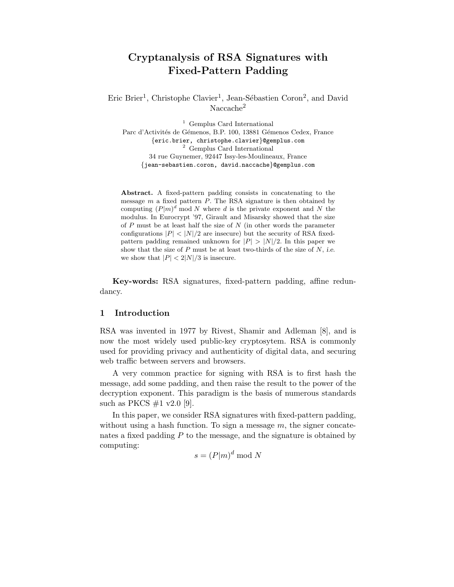# Cryptanalysis of RSA Signatures with Fixed-Pattern Padding

Eric Brier<sup>1</sup>, Christophe Clavier<sup>1</sup>, Jean-Sébastien Coron<sup>2</sup>, and David Naccache<sup>2</sup>

<sup>1</sup> Gemplus Card International Parc d'Activités de Gémenos, B.P. 100, 13881 Gémenos Cedex, France {eric.brier, christophe.clavier}@gemplus.com <sup>2</sup> Gemplus Card International 34 rue Guynemer, 92447 Issy-les-Moulineaux, France {jean-sebastien.coron, david.naccache}@gemplus.com

Abstract. A fixed-pattern padding consists in concatenating to the message  $m$  a fixed pattern  $P$ . The RSA signature is then obtained by computing  $(P|m)^d \mod N$  where d is the private exponent and N the modulus. In Eurocrypt '97, Girault and Misarsky showed that the size of  $P$  must be at least half the size of  $N$  (in other words the parameter configurations  $|P| < |N|/2$  are insecure) but the security of RSA fixedpattern padding remained unknown for  $|P| > |N|/2$ . In this paper we show that the size of  $P$  must be at least two-thirds of the size of  $N$ , *i.e.* we show that  $|P| < 2|N|/3$  is insecure.

Key-words: RSA signatures, fixed-pattern padding, affine redundancy.

## 1 Introduction

RSA was invented in 1977 by Rivest, Shamir and Adleman [8], and is now the most widely used public-key cryptosytem. RSA is commonly used for providing privacy and authenticity of digital data, and securing web traffic between servers and browsers.

A very common practice for signing with RSA is to first hash the message, add some padding, and then raise the result to the power of the decryption exponent. This paradigm is the basis of numerous standards such as PKCS  $\#1$  v2.0 [9].

In this paper, we consider RSA signatures with fixed-pattern padding, without using a hash function. To sign a message  $m$ , the signer concatenates a fixed padding  $P$  to the message, and the signature is obtained by computing:

$$
s = (P|m)^d \bmod N
$$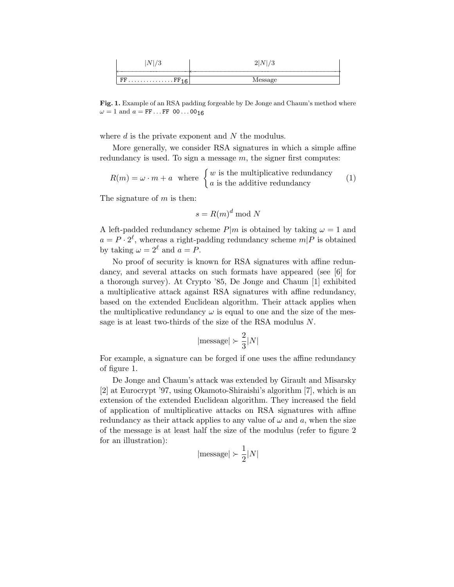| Λ                                                      | <b>.</b> |
|--------------------------------------------------------|----------|
|                                                        |          |
| $FF \ldots \ldots \ldots \ldots \ldots \text{FF}_{16}$ | wessage  |

Fig. 1. Example of an RSA padding forgeable by De Jonge and Chaum's method where  $\omega = 1$  and  $a = FF \dots FF$  00...00<sub>16</sub>

where  $d$  is the private exponent and  $N$  the modulus.

More generally, we consider RSA signatures in which a simple affine redundancy is used. To sign a message  $m$ , the signer first computes:

$$
R(m) = \omega \cdot m + a \quad \text{where } \begin{cases} w \text{ is the multiplicative redundancy} \\ a \text{ is the additive redundancy} \end{cases} \tag{1}
$$

The signature of  $m$  is then:

$$
s = R(m)^d \bmod N
$$

A left-padded redundancy scheme  $P|m$  is obtained by taking  $\omega = 1$  and  $a = P \cdot 2^{\ell}$ , whereas a right-padding redundancy scheme  $m|P$  is obtained by taking  $\omega = 2^{\ell}$  and  $a = P$ .

No proof of security is known for RSA signatures with affine redundancy, and several attacks on such formats have appeared (see [6] for a thorough survey). At Crypto '85, De Jonge and Chaum [1] exhibited a multiplicative attack against RSA signatures with affine redundancy, based on the extended Euclidean algorithm. Their attack applies when the multiplicative redundancy  $\omega$  is equal to one and the size of the message is at least two-thirds of the size of the RSA modulus N.

$$
|\mathrm{message}|\succ \frac{2}{3}|N|
$$

For example, a signature can be forged if one uses the affine redundancy of figure 1.

De Jonge and Chaum's attack was extended by Girault and Misarsky [2] at Eurocrypt '97, using Okamoto-Shiraishi's algorithm [7], which is an extension of the extended Euclidean algorithm. They increased the field of application of multiplicative attacks on RSA signatures with affine redundancy as their attack applies to any value of  $\omega$  and  $\alpha$ , when the size of the message is at least half the size of the modulus (refer to figure 2 for an illustration):

$$
|\mathrm{message}|\succ \frac{1}{2}|N|
$$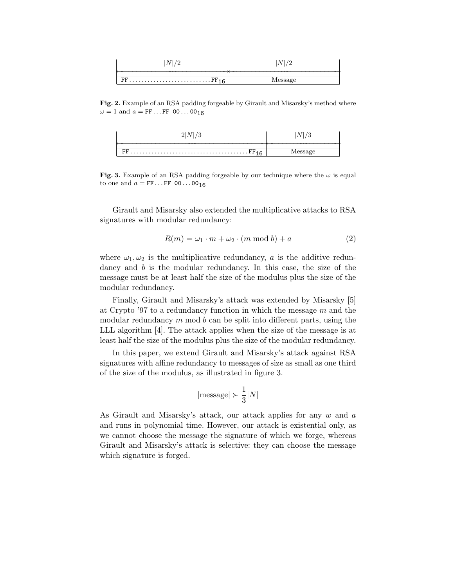| <b>.</b> |  |
|----------|--|
|          |  |

Fig. 2. Example of an RSA padding forgeable by Girault and Misarsky's method where  $\omega = 1$  and  $a = FF \dots FF$  00...00<sub>16</sub>

| . FF |  |
|------|--|

Fig. 3. Example of an RSA padding forgeable by our technique where the  $\omega$  is equal to one and  $a = FF \dots FF 00 \dots 00_{16}$ 

Girault and Misarsky also extended the multiplicative attacks to RSA signatures with modular redundancy:

$$
R(m) = \omega_1 \cdot m + \omega_2 \cdot (m \bmod b) + a \tag{2}
$$

where  $\omega_1, \omega_2$  is the multiplicative redundancy, a is the additive redundancy and b is the modular redundancy. In this case, the size of the message must be at least half the size of the modulus plus the size of the modular redundancy.

Finally, Girault and Misarsky's attack was extended by Misarsky [5] at Crypto  $37$  to a redundancy function in which the message m and the modular redundancy  $m$  mod  $b$  can be split into different parts, using the LLL algorithm [4]. The attack applies when the size of the message is at least half the size of the modulus plus the size of the modular redundancy.

In this paper, we extend Girault and Misarsky's attack against RSA signatures with affine redundancy to messages of size as small as one third of the size of the modulus, as illustrated in figure 3.

$$
|\mathrm{message}|\succ \frac{1}{3}|N|
$$

As Girault and Misarsky's attack, our attack applies for any w and a and runs in polynomial time. However, our attack is existential only, as we cannot choose the message the signature of which we forge, whereas Girault and Misarsky's attack is selective: they can choose the message which signature is forged.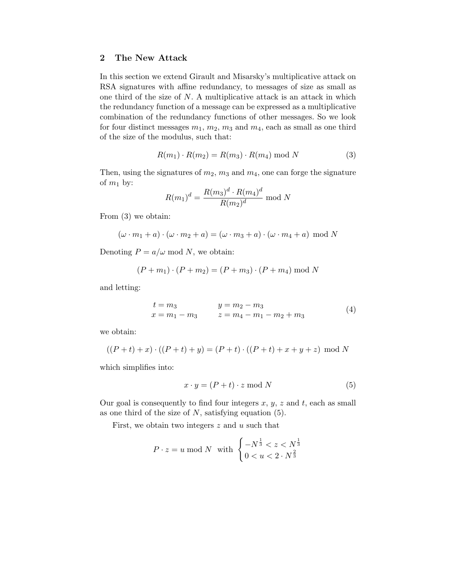## 2 The New Attack

In this section we extend Girault and Misarsky's multiplicative attack on RSA signatures with affine redundancy, to messages of size as small as one third of the size of  $N$ . A multiplicative attack is an attack in which the redundancy function of a message can be expressed as a multiplicative combination of the redundancy functions of other messages. So we look for four distinct messages  $m_1$ ,  $m_2$ ,  $m_3$  and  $m_4$ , each as small as one third of the size of the modulus, such that:

$$
R(m_1) \cdot R(m_2) = R(m_3) \cdot R(m_4) \bmod N \tag{3}
$$

Then, using the signatures of  $m_2$ ,  $m_3$  and  $m_4$ , one can forge the signature of  $m_1$  by: d

$$
R(m_1)^d = \frac{R(m_3)^d \cdot R(m_4)^d}{R(m_2)^d} \mod N
$$

From (3) we obtain:

$$
(\omega \cdot m_1 + a) \cdot (\omega \cdot m_2 + a) = (\omega \cdot m_3 + a) \cdot (\omega \cdot m_4 + a) \mod N
$$

Denoting  $P = a/\omega \mod N$ , we obtain:

$$
(P + m_1) \cdot (P + m_2) = (P + m_3) \cdot (P + m_4) \bmod N
$$

and letting:

$$
t = m_3 \t y = m_2 - m_3
$$
  
\n
$$
x = m_1 - m_3 \t z = m_4 - m_1 - m_2 + m_3
$$
\n(4)

we obtain:

$$
((P+t)+x)\cdot ((P+t)+y) = (P+t)\cdot ((P+t)+x+y+z) \mod N
$$

which simplifies into:

$$
x \cdot y = (P + t) \cdot z \bmod N \tag{5}
$$

Our goal is consequently to find four integers  $x, y, z$  and  $t$ , each as small as one third of the size of  $N$ , satisfying equation (5).

First, we obtain two integers  $z$  and  $u$  such that

$$
P \cdot z = u \bmod N \text{ with } \begin{cases} -N^{\frac{1}{3}} < z < N^{\frac{1}{3}} \\ 0 < u < 2 \cdot N^{\frac{2}{3}} \end{cases}
$$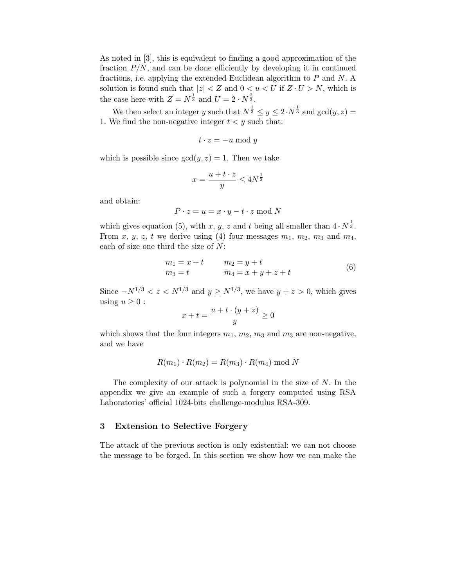As noted in [3], this is equivalent to finding a good approximation of the fraction  $P/N$ , and can be done efficiently by developing it in continued fractions, i.e. applying the extended Euclidean algorithm to P and N. A solution is found such that  $|z| < Z$  and  $0 < u < U$  if  $Z \cdot U > N$ , which is the case here with  $Z = N^{\frac{1}{3}}$  and  $U = 2 \cdot N^{\frac{2}{3}}$ .

We then select an integer y such that  $N^{\frac{1}{3}} \leq y \leq 2 \cdot N^{\frac{1}{3}}$  and  $gcd(y, z) =$ 1. We find the non-negative integer  $t < y$  such that:

$$
t \cdot z = -u \bmod y
$$

which is possible since  $gcd(y, z) = 1$ . Then we take

$$
x = \frac{u + t \cdot z}{y} \le 4N^{\frac{1}{3}}
$$

and obtain:

$$
P \cdot z = u = x \cdot y - t \cdot z \mod N
$$

which gives equation (5), with x, y, z and t being all smaller than  $4 \cdot N^{\frac{1}{3}}$ . From x, y, z, t we derive using (4) four messages  $m_1$ ,  $m_2$ ,  $m_3$  and  $m_4$ , each of size one third the size of N:

$$
m_1 = x + t \t m_2 = y + tm_3 = t \t m_4 = x + y + z + t
$$
 (6)

Since  $-N^{1/3} < z < N^{1/3}$  and  $y \ge N^{1/3}$ , we have  $y + z > 0$ , which gives using  $u \geq 0$ :

$$
x + t = \frac{u + t \cdot (y + z)}{y} \ge 0
$$

which shows that the four integers  $m_1$ ,  $m_2$ ,  $m_3$  and  $m_3$  are non-negative, and we have

$$
R(m_1) \cdot R(m_2) = R(m_3) \cdot R(m_4) \bmod N
$$

The complexity of our attack is polynomial in the size of  $N$ . In the appendix we give an example of such a forgery computed using RSA Laboratories' official 1024-bits challenge-modulus RSA-309.

#### 3 Extension to Selective Forgery

The attack of the previous section is only existential: we can not choose the message to be forged. In this section we show how we can make the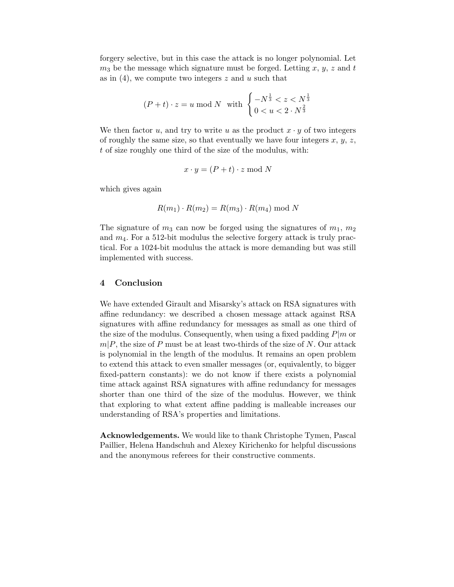forgery selective, but in this case the attack is no longer polynomial. Let  $m_3$  be the message which signature must be forged. Letting x, y, z and t as in  $(4)$ , we compute two integers z and u such that

$$
(P+t) \cdot z = u \bmod N \quad \text{with} \quad \begin{cases} -N^{\frac{1}{3}} < z < N^{\frac{1}{3}} \\ 0 < u < 2 \cdot N^{\frac{2}{3}} \end{cases}
$$

We then factor u, and try to write u as the product  $x \cdot y$  of two integers of roughly the same size, so that eventually we have four integers  $x, y, z$ , t of size roughly one third of the size of the modulus, with:

$$
x \cdot y = (P + t) \cdot z \bmod N
$$

which gives again

$$
R(m_1) \cdot R(m_2) = R(m_3) \cdot R(m_4) \bmod N
$$

The signature of  $m_3$  can now be forged using the signatures of  $m_1$ ,  $m_2$ and  $m_4$ . For a 512-bit modulus the selective forgery attack is truly practical. For a 1024-bit modulus the attack is more demanding but was still implemented with success.

#### 4 Conclusion

We have extended Girault and Misarsky's attack on RSA signatures with affine redundancy: we described a chosen message attack against RSA signatures with affine redundancy for messages as small as one third of the size of the modulus. Consequently, when using a fixed padding  $P|m$  or  $m|P$ , the size of P must be at least two-thirds of the size of N. Our attack is polynomial in the length of the modulus. It remains an open problem to extend this attack to even smaller messages (or, equivalently, to bigger fixed-pattern constants): we do not know if there exists a polynomial time attack against RSA signatures with affine redundancy for messages shorter than one third of the size of the modulus. However, we think that exploring to what extent affine padding is malleable increases our understanding of RSA's properties and limitations.

Acknowledgements. We would like to thank Christophe Tymen, Pascal Paillier, Helena Handschuh and Alexey Kirichenko for helpful discussions and the anonymous referees for their constructive comments.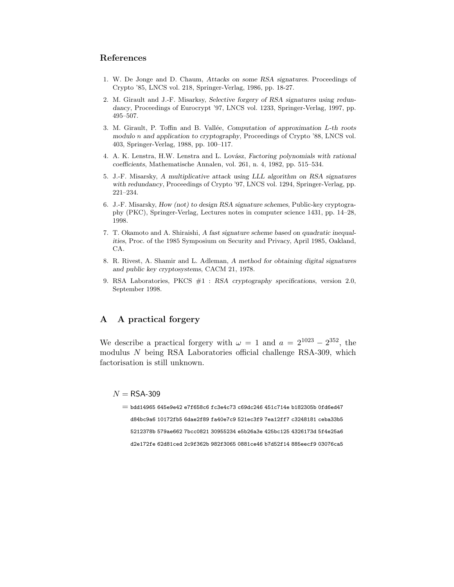## References

- 1. W. De Jonge and D. Chaum, Attacks on some RSA signatures. Proceedings of Crypto '85, LNCS vol. 218, Springer-Verlag, 1986, pp. 18-27.
- 2. M. Girault and J.-F. Misarksy, Selective forgery of RSA signatures using redundancy, Proceedings of Eurocrypt '97, LNCS vol. 1233, Springer-Verlag, 1997, pp. 495–507.
- 3. M. Girault, P. Toffin and B. Vallée, Computation of approximation  $L$ -th roots modulo n and application to cryptography, Proceedings of Crypto '88, LNCS vol. 403, Springer-Verlag, 1988, pp. 100–117.
- 4. A. K. Lenstra, H.W. Lenstra and L. Lovász, Factoring polynomials with rational coefficients, Mathematische Annalen, vol. 261, n. 4, 1982, pp. 515–534.
- 5. J.-F. Misarsky, A multiplicative attack using LLL algorithm on RSA signatures with redundancy, Proceedings of Crypto '97, LNCS vol. 1294, Springer-Verlag, pp. 221–234.
- 6. J.-F. Misarsky, How (not) to design RSA signature schemes, Public-key cryptography (PKC), Springer-Verlag, Lectures notes in computer science 1431, pp. 14–28, 1998.
- 7. T. Okamoto and A. Shiraishi, A fast signature scheme based on quadratic inequalities, Proc. of the 1985 Symposium on Security and Privacy, April 1985, Oakland, CA.
- 8. R. Rivest, A. Shamir and L. Adleman, A method for obtaining digital signatures and public key cryptosystems, CACM 21, 1978.
- 9. RSA Laboratories, PKCS #1 : RSA cryptography specifications, version 2.0, September 1998.

## A A practical forgery

We describe a practical forgery with  $\omega = 1$  and  $a = 2^{1023} - 2^{352}$ , the modulus N being RSA Laboratories official challenge RSA-309, which factorisation is still unknown.

 $N =$ RSA-309

 $=$  bdd14965 645e9e42 e7f658c6 fc3e4c73 c69dc246 451c714e b182305b 0fd6ed47 d84bc9a6 10172fb5 6dae2f89 fa40e7c9 521ec3f9 7ea12ff7 c3248181 ceba33b5 5212378b 579ae662 7bcc0821 30955234 e5b26a3e 425bc125 4326173d 5f4e25a6 d2e172fe 62d81ced 2c9f362b 982f3065 0881ce46 b7d52f14 885eecf9 03076ca5